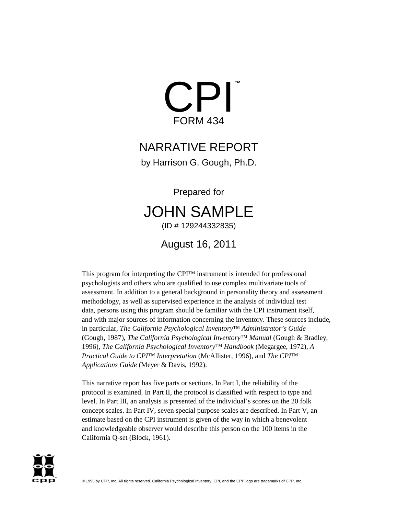

# NARRATIVE REPORT

by Harrison G. Gough, Ph.D.

Prepared for

# JOHN SAMPLE (ID # 129244332835)

August 16, 2011

This program for interpreting the CPI™ instrument is intended for professional psychologists and others who are qualified to use complex multivariate tools of assessment. In addition to a general background in personality theory and assessment methodology, as well as supervised experience in the analysis of individual test data, persons using this program should be familiar with the CPI instrument itself, and with major sources of information concerning the inventory. These sources include, in particular, *The California Psychological Inventory™ Administrator's Guide* (Gough, 1987), *The California Psychological Inventory™ Manual* (Gough & Bradley, 1996), *The California Psychological Inventory™ Handbook* (Megargee, 1972), *A Practical Guide to CPI™ Interpretation* (McAllister, 1996), and *The CPI™ Applications Guide* (Meyer & Davis, 1992).

This narrative report has five parts or sections. In Part I, the reliability of the protocol is examined. In Part II, the protocol is classified with respect to type and level. In Part III, an analysis is presented of the individual's scores on the 20 folk concept scales. In Part IV, seven special purpose scales are described. In Part V, an estimate based on the CPI instrument is given of the way in which a benevolent and knowledgeable observer would describe this person on the 100 items in the California Q-set (Block, 1961).

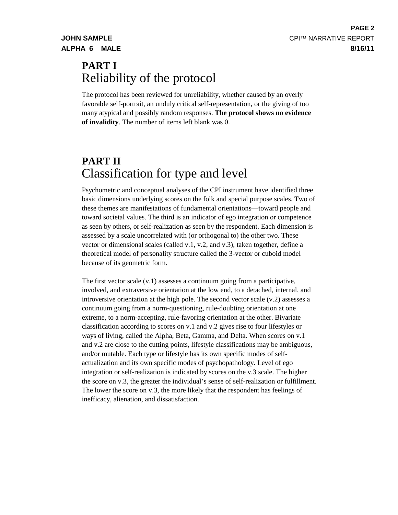# **PART I** Reliability of the protocol

The protocol has been reviewed for unreliability, whether caused by an overly favorable self-portrait, an unduly critical self-representation, or the giving of too many atypical and possibly random responses. **The protocol shows no evidence of invalidity**. The number of items left blank was 0.

# **PART II** Classification for type and level

Psychometric and conceptual analyses of the CPI instrument have identified three basic dimensions underlying scores on the folk and special purpose scales. Two of these themes are manifestations of fundamental orientations—toward people and toward societal values. The third is an indicator of ego integration or competence as seen by others, or self-realization as seen by the respondent. Each dimension is assessed by a scale uncorrelated with (or orthogonal to) the other two. These vector or dimensional scales (called v.1, v.2, and v.3), taken together, define a theoretical model of personality structure called the 3-vector or cuboid model because of its geometric form.

The first vector scale (v.1) assesses a continuum going from a participative, involved, and extraversive orientation at the low end, to a detached, internal, and introversive orientation at the high pole. The second vector scale (v.2) assesses a continuum going from a norm-questioning, rule-doubting orientation at one extreme, to a norm-accepting, rule-favoring orientation at the other. Bivariate classification according to scores on v.1 and v.2 gives rise to four lifestyles or ways of living, called the Alpha, Beta, Gamma, and Delta. When scores on v.1 and v.2 are close to the cutting points, lifestyle classifications may be ambiguous, and/or mutable. Each type or lifestyle has its own specific modes of selfactualization and its own specific modes of psychopathology. Level of ego integration or self-realization is indicated by scores on the v.3 scale. The higher the score on v.3, the greater the individual's sense of self-realization or fulfillment. The lower the score on v.3, the more likely that the respondent has feelings of inefficacy, alienation, and dissatisfaction.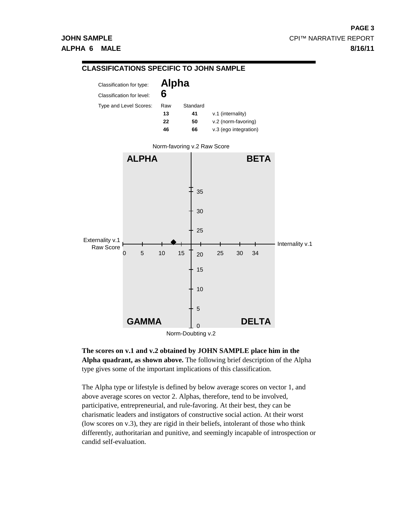

**The scores on v.1 and v.2 obtained by JOHN SAMPLE place him in the Alpha quadrant, as shown above.** The following brief description of the Alpha type gives some of the important implications of this classification.

The Alpha type or lifestyle is defined by below average scores on vector 1, and above average scores on vector 2. Alphas, therefore, tend to be involved, participative, entrepreneurial, and rule-favoring. At their best, they can be charismatic leaders and instigators of constructive social action. At their worst (low scores on v.3), they are rigid in their beliefs, intolerant of those who think differently, authoritarian and punitive, and seemingly incapable of introspection or candid self-evaluation.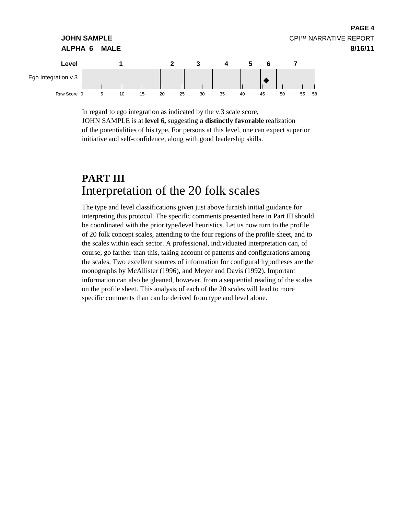

In regard to ego integration as indicated by the v.3 scale score, JOHN SAMPLE is at **level 6,** suggesting **a distinctly favorable** realization of the potentialities of his type. For persons at this level, one can expect superior initiative and self-confidence, along with good leadership skills.

**PAGE 4**

# **PART III** Interpretation of the 20 folk scales

The type and level classifications given just above furnish initial guidance for interpreting this protocol. The specific comments presented here in Part III should be coordinated with the prior type/level heuristics. Let us now turn to the profile of 20 folk concept scales, attending to the four regions of the profile sheet, and to the scales within each sector. A professional, individuated interpretation can, of course, go farther than this, taking account of patterns and configurations among the scales. Two excellent sources of information for configural hypotheses are the monographs by McAllister (1996), and Meyer and Davis (1992). Important information can also be gleaned, however, from a sequential reading of the scales on the profile sheet. This analysis of each of the 20 scales will lead to more specific comments than can be derived from type and level alone.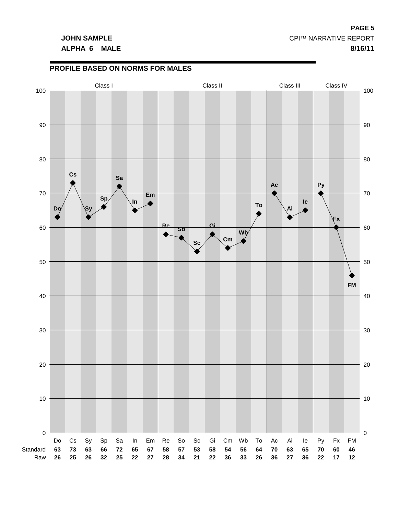# **ALPHA 6 MALE 8/16/11**

**PROFILE BASED ON NORMS FOR MALES**

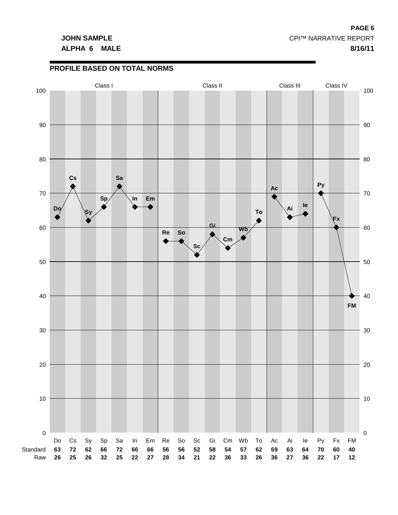# **ALPHA 6 MALE 8/16/11**

**PROFILE BASED ON TOTAL NORMS**

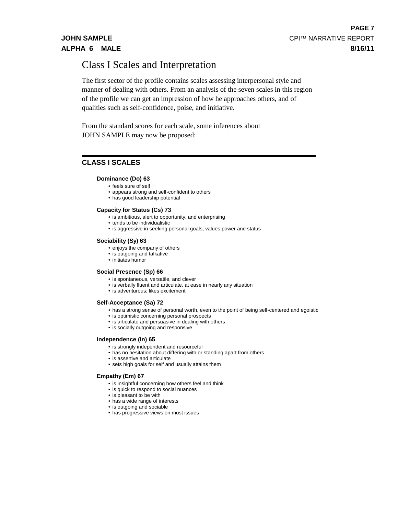# Class I Scales and Interpretation

The first sector of the profile contains scales assessing interpersonal style and manner of dealing with others. From an analysis of the seven scales in this region of the profile we can get an impression of how he approaches others, and of qualities such as self-confidence, poise, and initiative.

From the standard scores for each scale, some inferences about JOHN SAMPLE may now be proposed:

# **CLASS I SCALES**

# **Dominance (Do) 63**

- feels sure of self
- appears strong and self-confident to others
- has good leadership potential

# **Capacity for Status (Cs) 73**

- is ambitious, alert to opportunity, and enterprising
- tends to be individualistic
- is aggressive in seeking personal goals; values power and status

## **Sociability (Sy) 63**

- enjoys the company of others
- is outgoing and talkative
- initiates humor

### **Social Presence (Sp) 66**

- is spontaneous, versatile, and clever
- is verbally fluent and articulate, at ease in nearly any situation
- is adventurous; likes excitement

### **Self-Acceptance (Sa) 72**

- has a strong sense of personal worth, even to the point of being self-centered and egoistic
- is optimistic concerning personal prospects
- is articulate and persuasive in dealing with others
- is socially outgoing and responsive

### **Independence (In) 65**

- is strongly independent and resourceful
- has no hesitation about differing with or standing apart from others
- is assertive and articulate
- sets high goals for self and usually attains them

### **Empathy (Em) 67**

- is insightful concerning how others feel and think
- is quick to respond to social nuances
- is pleasant to be with
- has a wide range of interests
- is outgoing and sociable
- has progressive views on most issues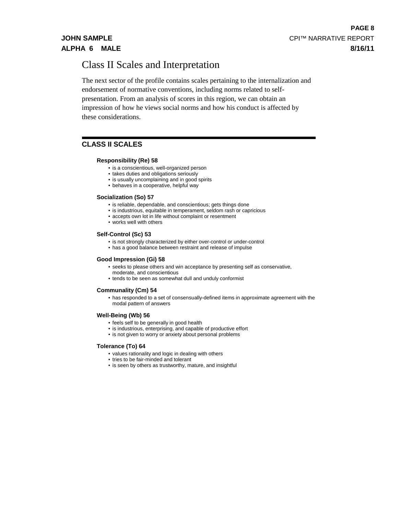# Class II Scales and Interpretation

The next sector of the profile contains scales pertaining to the internalization and endorsement of normative conventions, including norms related to selfpresentation. From an analysis of scores in this region, we can obtain an impression of how he views social norms and how his conduct is affected by these considerations.

# **CLASS II SCALES**

## **Responsibility (Re) 58**

- is a conscientious, well-organized person
- takes duties and obligations seriously
- is usually uncomplaining and in good spirits
- behaves in a cooperative, helpful way

## **Socialization (So) 57**

- is reliable, dependable, and conscientious; gets things done
- is industrious, equitable in temperament, seldom rash or capricious
- accepts own lot in life without complaint or resentment
- works well with others

## **Self-Control (Sc) 53**

- is not strongly characterized by either over-control or under-control
- has a good balance between restraint and release of impulse

### **Good Impression (Gi) 58**

- seeks to please others and win acceptance by presenting self as conservative, moderate, and conscientious
- tends to be seen as somewhat dull and unduly conformist

### **Communality (Cm) 54**

• has responded to a set of consensually-defined items in approximate agreement with the modal pattern of answers

### **Well-Being (Wb) 56**

- feels self to be generally in good health
- is industrious, enterprising, and capable of productive effort
- is not given to worry or anxiety about personal problems

### **Tolerance (To) 64**

- values rationality and logic in dealing with others
- tries to be fair-minded and tolerant
- is seen by others as trustworthy, mature, and insightful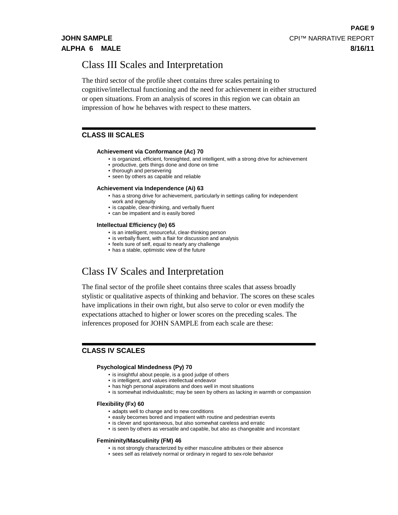# Class III Scales and Interpretation

The third sector of the profile sheet contains three scales pertaining to cognitive/intellectual functioning and the need for achievement in either structured or open situations. From an analysis of scores in this region we can obtain an impression of how he behaves with respect to these matters.

# **CLASS III SCALES**

## **Achievement via Conformance (Ac) 70**

- is organized, efficient, foresighted, and intelligent, with a strong drive for achievement
- productive, gets things done and done on time
- thorough and persevering
- seen by others as capable and reliable

### **Achievement via Independence (Ai) 63**

- has a strong drive for achievement, particularly in settings calling for independent work and ingenuity
- is capable, clear-thinking, and verbally fluent
- can be impatient and is easily bored

### **Intellectual Efficiency (Ie) 65**

- is an intelligent, resourceful, clear-thinking person
- is verbally fluent, with a flair for discussion and analysis
- feels sure of self, equal to nearly any challenge
- has a stable, optimistic view of the future

# Class IV Scales and Interpretation

The final sector of the profile sheet contains three scales that assess broadly stylistic or qualitative aspects of thinking and behavior. The scores on these scales have implications in their own right, but also serve to color or even modify the expectations attached to higher or lower scores on the preceding scales. The inferences proposed for JOHN SAMPLE from each scale are these:

# **CLASS IV SCALES**

### **Psychological Mindedness (Py) 70**

- is insightful about people, is a good judge of others
- is intelligent, and values intellectual endeavor
- has high personal aspirations and does well in most situations
- is somewhat individualistic; may be seen by others as lacking in warmth or compassion

## **Flexibility (Fx) 60**

- adapts well to change and to new conditions
- easily becomes bored and impatient with routine and pedestrian events
- is clever and spontaneous, but also somewhat careless and erratic
- is seen by others as versatile and capable, but also as changeable and inconstant

### **Femininity/Masculinity (FM) 46**

- is not strongly characterized by either masculine attributes or their absence
- sees self as relatively normal or ordinary in regard to sex-role behavior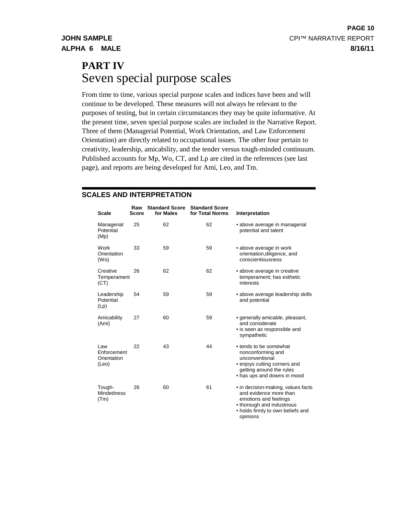# **PART IV** Seven special purpose scales

From time to time, various special purpose scales and indices have been and will continue to be developed. These measures will not always be relevant to the purposes of testing, but in certain circumstances they may be quite informative. At the present time, seven special purpose scales are included in the Narrative Report. Three of them (Managerial Potential, Work Orientation, and Law Enforcement Orientation) are directly related to occupational issues. The other four pertain to creativity, leadership, amicability, and the tender versus tough-minded continuum. Published accounts for Mp, Wo, CT, and Lp are cited in the references (see last page), and reports are being developed for Ami, Leo, and Tm.

# **SCALES AND INTERPRETATION**

| <b>Scale</b>                               | Raw<br>Score | <b>Standard Score</b><br>for Males | <b>Standard Score</b><br>for Total Norms | Interpretation                                                                                                                                                       |
|--------------------------------------------|--------------|------------------------------------|------------------------------------------|----------------------------------------------------------------------------------------------------------------------------------------------------------------------|
| Managerial<br>Potential<br>(Mp)            | 25           | 62                                 | 62                                       | • above average in managerial<br>potential and talent                                                                                                                |
| Work<br>Orientation<br>(W <sub>O</sub> )   | 33           | 59                                 | 59                                       | • above average in work<br>orientation, diligence, and<br>conscientiousness                                                                                          |
| Creative<br>Temperament<br>(CT)            | 26           | 62                                 | 62                                       | • above average in creative<br>temperament; has esthetic<br>interests                                                                                                |
| Leadership<br>Potential<br>(Lp)            | 54           | 59                                 | 59                                       | • above average leadership skills<br>and potential                                                                                                                   |
| Amicability<br>(Ami)                       | 27           | 60                                 | 59                                       | • generally amicable, pleasant,<br>and considerate<br>• is seen as responsible and<br>sympathetic                                                                    |
| Law<br>Enforcement<br>Orientation<br>(Leo) | 22           | 43                                 | 44                                       | • tends to be somewhat<br>nonconforming and<br>unconventional<br>• enjoys cutting corners and<br>getting around the rules<br>• has ups and downs in mood             |
| Tough-<br><b>Mindedness</b><br>(Tm)        | 26           | 60                                 | 61                                       | • in decision-making, values facts<br>and evidence more than<br>emotions and feelings<br>• thorough and industrious<br>• holds firmly to own beliefs and<br>opinions |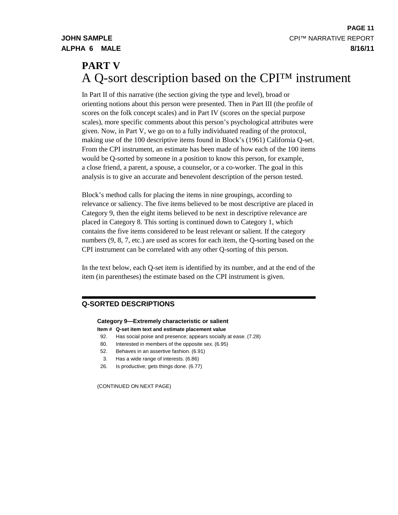# **PART V** A Q-sort description based on the CPI™ instrument

In Part II of this narrative (the section giving the type and level), broad or orienting notions about this person were presented. Then in Part III (the profile of scores on the folk concept scales) and in Part IV (scores on the special purpose scales), more specific comments about this person's psychological attributes were given. Now, in Part V, we go on to a fully individuated reading of the protocol, making use of the 100 descriptive items found in Block's (1961) California Q-set. From the CPI instrument, an estimate has been made of how each of the 100 items would be Q-sorted by someone in a position to know this person, for example, a close friend, a parent, a spouse, a counselor, or a co-worker. The goal in this analysis is to give an accurate and benevolent description of the person tested.

Block's method calls for placing the items in nine groupings, according to relevance or saliency. The five items believed to be most descriptive are placed in Category 9, then the eight items believed to be next in descriptive relevance are placed in Category 8. This sorting is continued down to Category 1, which contains the five items considered to be least relevant or salient. If the category numbers (9, 8, 7, etc.) are used as scores for each item, the Q-sorting based on the CPI instrument can be correlated with any other Q-sorting of this person.

In the text below, each Q-set item is identified by its number, and at the end of the item (in parentheses) the estimate based on the CPI instrument is given.

# **Q-SORTED DESCRIPTIONS**

# **Category 9—Extremely characteristic or salient**

- **Item # Q-set item text and estimate placement value**
- 92. Has social poise and presence; appears socially at ease. (7.28)
- 80. Interested in members of the opposite sex. (6.95)
- 52. Behaves in an assertive fashion. (6.91)
- 3. Has a wide range of interests. (6.86)
- 26. Is productive; gets things done. (6.77)

(CONTINUED ON NEXT PAGE)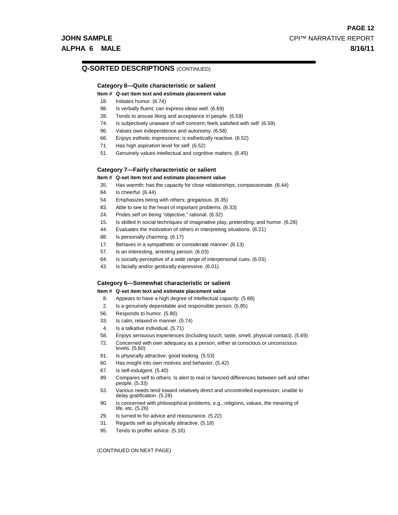# **Q-SORTED DESCRIPTIONS** (CONTINUED)

## **Category 8—Quite characteristic or salient**

#### **Item # Q-set item text and estimate placement value**

- 18. Initiates humor. (6.74)
- 98. Is verbally fluent; can express ideas well. (6.69)
- 28. Tends to arouse liking and acceptance in people. (6.59)
- 74. Is subjectively unaware of self-concern; feels satisfied with self. (6.59)
- 96. Values own independence and autonomy. (6.58)
- 66. Enjoys esthetic impressions; is esthetically reactive. (6.52)
- 71. Has high aspiration level for self. (6.52)
- 51. Genuinely values intellectual and cognitive matters. (6.45)

#### **Category 7—Fairly characteristic or salient**

#### **Item # Q-set item text and estimate placement value**

- 35. Has warmth; has the capacity for close relationships; compassionate. (6.44)
- 84. Is cheerful. (6.44)
- 54. Emphasizes being with others; gregarious. (6.35)
- 83. Able to see to the heart of important problems. (6.33)
- 24. Prides self on being "objective," rational. (6.32)
- 15. Is skilled in social techniques of imaginative play, pretending, and humor. (6.28)
- 44. Evaluates the motivation of others in interpreting situations. (6.21)
- 88. Is personally charming. (6.17)
- 17. Behaves in a sympathetic or considerate manner. (6.13)
- 57. Is an interesting, arresting person. (6.03)
- 64. Is socially perceptive of a wide range of interpersonal cues. (6.03)
- 43. Is facially and/or gesturally expressive. (6.01)

### **Category 6—Somewhat characteristic or salient**

#### **Item # Q-set item text and estimate placement value**

- 8. Appears to have a high degree of intellectual capacity. (5.88)
- 2. Is a genuinely dependable and responsible person. (5.85)
- 56. Responds to humor. (5.80)
- 33. Is calm, relaxed in manner. (5.74)
- 4. Is a talkative individual. (5.71)
- 58. Enjoys sensuous experiences (including touch, taste, smell, physical contact). (5.69)
- 72. Concerned with own adequacy as a person, either at conscious or unconscious levels. (5.60)
- 81. Is physically attractive; good-looking. (5.53)
- 60. Has insight into own motives and behavior. (5.42)
- 67. Is self-indulgent. (5.40)
- 89. Compares self to others. Is alert to real or fancied differences between self and other people. (5.33)
- 53. Various needs tend toward relatively direct and uncontrolled expression; unable to delay gratification. (5.28)
- 90. Is concerned with philosophical problems; e.g., religions, values, the meaning of life, etc. (5.26)
- 29. Is turned to for advice and reassurance. (5.22)
- 31. Regards self as physically attractive. (5.18)
- 95. Tends to proffer advice. (5.16)

(CONTINUED ON NEXT PAGE)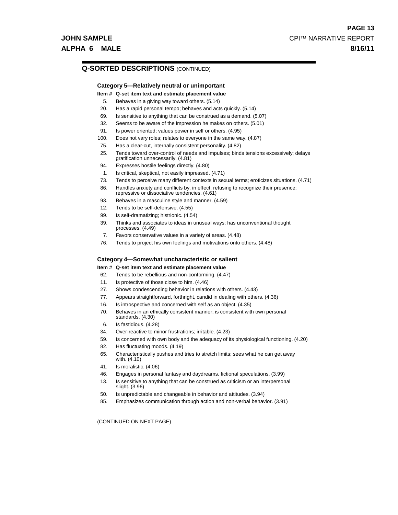# **Q-SORTED DESCRIPTIONS** (CONTINUED)

# **Category 5—Relatively neutral or unimportant**

- **Item # Q-set item text and estimate placement value**
- 5. Behaves in a giving way toward others. (5.14)
- 20. Has a rapid personal tempo; behaves and acts quickly. (5.14)
- 69. Is sensitive to anything that can be construed as a demand. (5.07)
- 32. Seems to be aware of the impression he makes on others. (5.01)
- 91. Is power oriented; values power in self or others. (4.95)
- 100. Does not vary roles; relates to everyone in the same way. (4.87)
- 75. Has a clear-cut, internally consistent personality. (4.82)
- 25. Tends toward over-control of needs and impulses; binds tensions excessively; delays gratification unnecessarily. (4.81)
- 94. Expresses hostile feelings directly. (4.80)
- 1. Is critical, skeptical, not easily impressed. (4.71)
- 73. Tends to perceive many different contexts in sexual terms; eroticizes situations. (4.71)
- 86. Handles anxiety and conflicts by, in effect, refusing to recognize their presence; repressive or dissociative tendencies. (4.61)
- 93. Behaves in a masculine style and manner. (4.59)
- 12. Tends to be self-defensive. (4.55)
- 99. Is self-dramatizing; histrionic. (4.54)
- 39. Thinks and associates to ideas in unusual ways; has unconventional thought processes. (4.49)
- 7. Favors conservative values in a variety of areas. (4.48)
- 76. Tends to project his own feelings and motivations onto others. (4.48)

# **Category 4—Somewhat uncharacteristic or salient**

# **Item # Q-set item text and estimate placement value**

- 62. Tends to be rebellious and non-conforming. (4.47)
- 11. Is protective of those close to him. (4.46)
- 27. Shows condescending behavior in relations with others. (4.43)
- 77. Appears straightforward, forthright, candid in dealing with others. (4.36)
- 16. Is introspective and concerned with self as an object. (4.35)
- 70. Behaves in an ethically consistent manner; is consistent with own personal standards. (4.30)
- 6. Is fastidious. (4.28)
- 34. Over-reactive to minor frustrations; irritable. (4.23)
- 59. Is concerned with own body and the adequacy of its physiological functioning. (4.20)
- 82. Has fluctuating moods. (4.19)
- 65. Characteristically pushes and tries to stretch limits; sees what he can get away with. (4.10)
- 41. Is moralistic. (4.06)
- 46. Engages in personal fantasy and daydreams, fictional speculations. (3.99)
- 13. Is sensitive to anything that can be construed as criticism or an interpersonal slight. (3.96)
- 50. Is unpredictable and changeable in behavior and attitudes. (3.94)
- 85. Emphasizes communication through action and non-verbal behavior. (3.91)

(CONTINUED ON NEXT PAGE)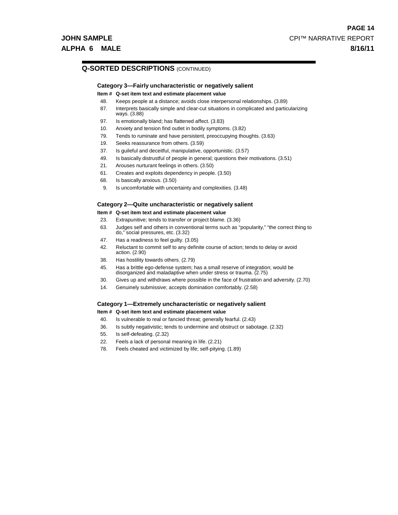# **Q-SORTED DESCRIPTIONS** (CONTINUED)

# **Category 3—Fairly uncharacteristic or negatively salient**

#### **Item # Q-set item text and estimate placement value**

- 48. Keeps people at a distance; avoids close interpersonal relationships. (3.89)
- 87. Interprets basically simple and clear-cut situations in complicated and particularizing ways. (3.88)
- 97. Is emotionally bland; has flattened affect. (3.83)
- 10. Anxiety and tension find outlet in bodily symptoms. (3.82)
- 79. Tends to ruminate and have persistent, preoccupying thoughts. (3.63)
- 19. Seeks reassurance from others. (3.59)
- 37. Is guileful and deceitful, manipulative, opportunistic. (3.57)
- 49. Is basically distrustful of people in general; questions their motivations. (3.51)
- 21. Arouses nurturant feelings in others. (3.50)
- 61. Creates and exploits dependency in people. (3.50)
- 68. Is basically anxious. (3.50)
- 9. Is uncomfortable with uncertainty and complexities. (3.48)

# **Category 2—Quite uncharacteristic or negatively salient**

# **Item # Q-set item text and estimate placement value**

- 23. Extrapunitive; tends to transfer or project blame. (3.36)
- 63. Judges self and others in conventional terms such as "popularity," "the correct thing to do," social pressures, etc. (3.32)
- 47. Has a readiness to feel guilty. (3.05)
- 42. Reluctant to commit self to any definite course of action; tends to delay or avoid action. (2.90)
- 38. Has hostility towards others. (2.79)
- 45. Has a brittle ego-defense system; has a small reserve of integration; would be disorganized and maladaptive when under stress or trauma. (2.75)
- 30. Gives up and withdraws where possible in the face of frustration and adversity. (2.70)
- 14. Genuinely submissive; accepts domination comfortably. (2.58)

# **Category 1—Extremely uncharacteristic or negatively salient**

#### **Item # Q-set item text and estimate placement value**

- 40. Is vulnerable to real or fancied threat; generally fearful. (2.43)
- 36. Is subtly negativistic; tends to undermine and obstruct or sabotage. (2.32)
- 55. Is self-defeating. (2.32)
- 22. Feels a lack of personal meaning in life. (2.21)
- 78. Feels cheated and victimized by life; self-pitying. (1.89)